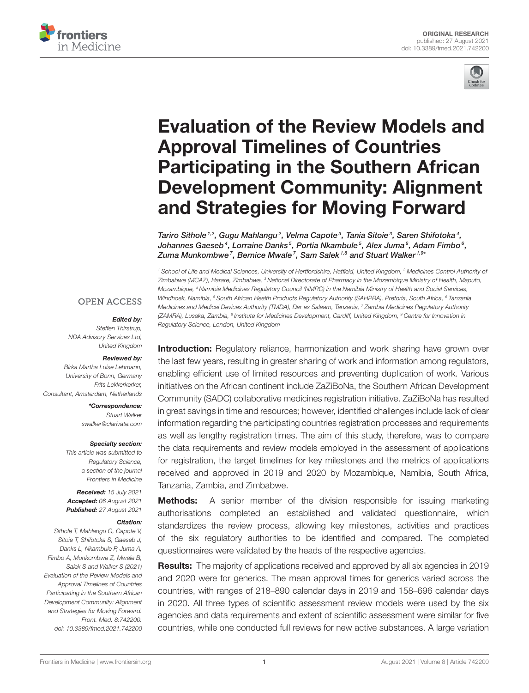



# Evaluation of the Review Models and Approval Timelines of Countries Participating in the Southern African [Development Community: Alignment](https://www.frontiersin.org/articles/10.3389/fmed.2021.742200/full) and Strategies for Moving Forward

Tariro Sithole  $1.2$ , Gugu Mahlangu $^2$ , Velma Capote $^3$ , Tania Sitoie $^3$ , Saren Shifotoka $^4$ , Johannes Gaeseb $^4$ , Lorraine Danks $^5$ , Portia Nkambule $^5$ , Alex Juma $^6$ , Adam Fimbo $^6$ , Zuma Munkombwe<sup>7</sup>, Bernice Mwale<sup>7</sup>, Sam Salek<sup>1,8</sup> and Stuart Walker<sup>1,9</sup>\*

*<sup>1</sup> School of Life and Medical Sciences, University of Hertfordshire, Hatfield, United Kingdom, <sup>2</sup> Medicines Control Authority of Zimbabwe (MCAZ), Harare, Zimbabwe, <sup>3</sup> National Directorate of Pharmacy in the Mozambique Ministry of Health, Maputo, Mozambique, <sup>4</sup> Namibia Medicines Regulatory Council (NMRC) in the Namibia Ministry of Health and Social Services, Windhoek, Namibia, <sup>5</sup> South African Health Products Regulatory Authority (SAHPRA), Pretoria, South Africa, <sup>6</sup> Tanzania Medicines and Medical Devices Authority (TMDA), Dar es Salaam, Tanzania, <sup>7</sup> Zambia Medicines Regulatory Authority (ZAMRA), Lusaka, Zambia, <sup>8</sup> Institute for Medicines Development, Cardiff, United Kingdom, <sup>9</sup> Centre for Innovation in Regulatory Science, London, United Kingdom*

### **OPEN ACCESS**

#### Edited by:

*Steffen Thirstrup, NDA Advisory Services Ltd, United Kingdom*

#### Reviewed by:

*Birka Martha Luise Lehmann, University of Bonn, Germany Frits Lekkerkerker, Consultant, Amsterdam, Netherlands*

> \*Correspondence: *Stuart Walker [swalker@clarivate.com](mailto:swalker@clarivate.com)*

#### Specialty section:

*This article was submitted to Regulatory Science, a section of the journal Frontiers in Medicine*

Received: *15 July 2021* Accepted: *06 August 2021* Published: *27 August 2021*

#### Citation:

*Sithole T, Mahlangu G, Capote V, Sitoie T, Shifotoka S, Gaeseb J, Danks L, Nkambule P, Juma A, Fimbo A, Munkombwe Z, Mwale B, Salek S and Walker S (2021) Evaluation of the Review Models and Approval Timelines of Countries Participating in the Southern African Development Community: Alignment and Strategies for Moving Forward. Front. Med. 8:742200. doi: [10.3389/fmed.2021.742200](https://doi.org/10.3389/fmed.2021.742200)*

**Introduction:** Regulatory reliance, harmonization and work sharing have grown over the last few years, resulting in greater sharing of work and information among regulators, enabling efficient use of limited resources and preventing duplication of work. Various initiatives on the African continent include ZaZiBoNa, the Southern African Development Community (SADC) collaborative medicines registration initiative. ZaZiBoNa has resulted in great savings in time and resources; however, identified challenges include lack of clear information regarding the participating countries registration processes and requirements as well as lengthy registration times. The aim of this study, therefore, was to compare the data requirements and review models employed in the assessment of applications for registration, the target timelines for key milestones and the metrics of applications received and approved in 2019 and 2020 by Mozambique, Namibia, South Africa, Tanzania, Zambia, and Zimbabwe.

**Methods:** A senior member of the division responsible for issuing marketing authorisations completed an established and validated questionnaire, which standardizes the review process, allowing key milestones, activities and practices of the six regulatory authorities to be identified and compared. The completed questionnaires were validated by the heads of the respective agencies.

**Results:** The majority of applications received and approved by all six agencies in 2019 and 2020 were for generics. The mean approval times for generics varied across the countries, with ranges of 218–890 calendar days in 2019 and 158–696 calendar days in 2020. All three types of scientific assessment review models were used by the six agencies and data requirements and extent of scientific assessment were similar for five countries, while one conducted full reviews for new active substances. A large variation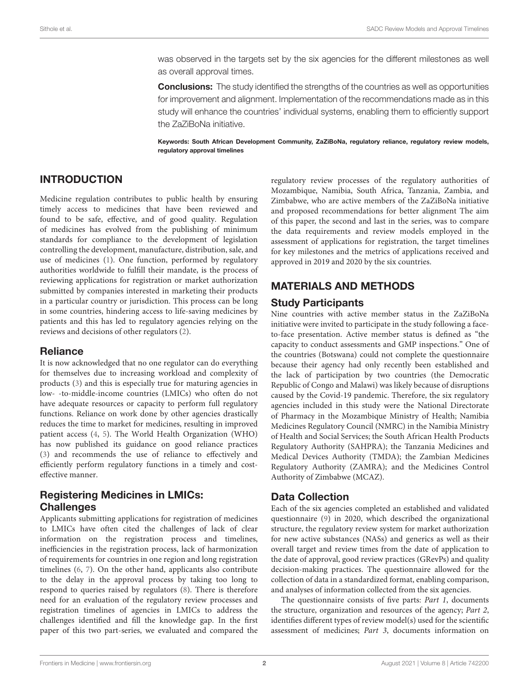was observed in the targets set by the six agencies for the different milestones as well as overall approval times.

**Conclusions:** The study identified the strengths of the countries as well as opportunities for improvement and alignment. Implementation of the recommendations made as in this study will enhance the countries' individual systems, enabling them to efficiently support the ZaZiBoNa initiative.

Keywords: South African Development Community, ZaZiBoNa, regulatory reliance, regulatory review models, regulatory approval timelines

# INTRODUCTION

Medicine regulation contributes to public health by ensuring timely access to medicines that have been reviewed and found to be safe, effective, and of good quality. Regulation of medicines has evolved from the publishing of minimum standards for compliance to the development of legislation controlling the development, manufacture, distribution, sale, and use of medicines [\(1\)](#page-8-0). One function, performed by regulatory authorities worldwide to fulfill their mandate, is the process of reviewing applications for registration or market authorization submitted by companies interested in marketing their products in a particular country or jurisdiction. This process can be long in some countries, hindering access to life-saving medicines by patients and this has led to regulatory agencies relying on the reviews and decisions of other regulators [\(2\)](#page-8-1).

### Reliance

It is now acknowledged that no one regulator can do everything for themselves due to increasing workload and complexity of products [\(3\)](#page-9-0) and this is especially true for maturing agencies in low- -to-middle-income countries (LMICs) who often do not have adequate resources or capacity to perform full regulatory functions. Reliance on work done by other agencies drastically reduces the time to market for medicines, resulting in improved patient access [\(4,](#page-9-1) [5\)](#page-9-2). The World Health Organization (WHO) has now published its guidance on good reliance practices [\(3\)](#page-9-0) and recommends the use of reliance to effectively and efficiently perform regulatory functions in a timely and costeffective manner.

# Registering Medicines in LMICs: **Challenges**

Applicants submitting applications for registration of medicines to LMICs have often cited the challenges of lack of clear information on the registration process and timelines, inefficiencies in the registration process, lack of harmonization of requirements for countries in one region and long registration timelines [\(6,](#page-9-3) [7\)](#page-9-4). On the other hand, applicants also contribute to the delay in the approval process by taking too long to respond to queries raised by regulators [\(8\)](#page-9-5). There is therefore need for an evaluation of the regulatory review processes and registration timelines of agencies in LMICs to address the challenges identified and fill the knowledge gap. In the first paper of this two part-series, we evaluated and compared the regulatory review processes of the regulatory authorities of Mozambique, Namibia, South Africa, Tanzania, Zambia, and Zimbabwe, who are active members of the ZaZiBoNa initiative and proposed recommendations for better alignment The aim of this paper, the second and last in the series, was to compare the data requirements and review models employed in the assessment of applications for registration, the target timelines for key milestones and the metrics of applications received and approved in 2019 and 2020 by the six countries.

# MATERIALS AND METHODS

### Study Participants

Nine countries with active member status in the ZaZiBoNa initiative were invited to participate in the study following a faceto-face presentation. Active member status is defined as "the capacity to conduct assessments and GMP inspections." One of the countries (Botswana) could not complete the questionnaire because their agency had only recently been established and the lack of participation by two countries (the Democratic Republic of Congo and Malawi) was likely because of disruptions caused by the Covid-19 pandemic. Therefore, the six regulatory agencies included in this study were the National Directorate of Pharmacy in the Mozambique Ministry of Health; Namibia Medicines Regulatory Council (NMRC) in the Namibia Ministry of Health and Social Services; the South African Health Products Regulatory Authority (SAHPRA); the Tanzania Medicines and Medical Devices Authority (TMDA); the Zambian Medicines Regulatory Authority (ZAMRA); and the Medicines Control Authority of Zimbabwe (MCAZ).

# Data Collection

Each of the six agencies completed an established and validated questionnaire [\(9\)](#page-9-6) in 2020, which described the organizational structure, the regulatory review system for market authorization for new active substances (NASs) and generics as well as their overall target and review times from the date of application to the date of approval, good review practices (GRevPs) and quality decision-making practices. The questionnaire allowed for the collection of data in a standardized format, enabling comparison, and analyses of information collected from the six agencies.

The questionnaire consists of five parts: Part 1, documents the structure, organization and resources of the agency; Part 2, identifies different types of review model(s) used for the scientific assessment of medicines; Part 3, documents information on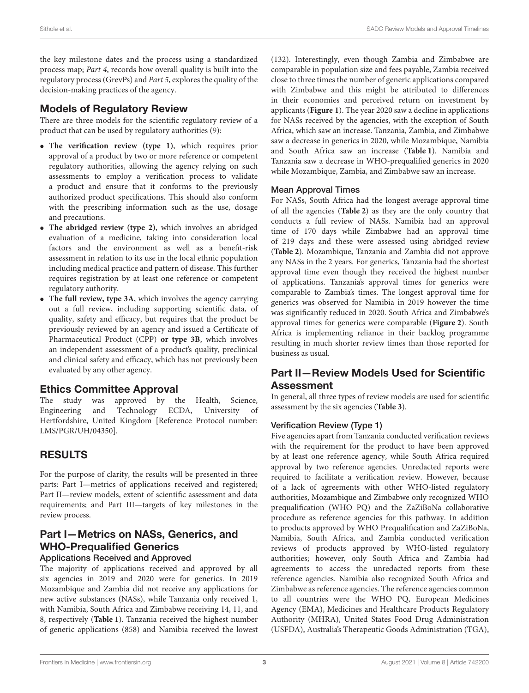the key milestone dates and the process using a standardized process map; Part 4, records how overall quality is built into the regulatory process (GrevPs) and Part 5, explores the quality of the decision-making practices of the agency.

# Models of Regulatory Review

There are three models for the scientific regulatory review of a product that can be used by regulatory authorities [\(9\)](#page-9-6):

- **The verification review (type 1)**, which requires prior approval of a product by two or more reference or competent regulatory authorities, allowing the agency relying on such assessments to employ a verification process to validate a product and ensure that it conforms to the previously authorized product specifications. This should also conform with the prescribing information such as the use, dosage and precautions.
- **The abridged review (type 2)**, which involves an abridged evaluation of a medicine, taking into consideration local factors and the environment as well as a benefit-risk assessment in relation to its use in the local ethnic population including medical practice and pattern of disease. This further requires registration by at least one reference or competent regulatory authority.
- **The full review, type 3A**, which involves the agency carrying out a full review, including supporting scientific data, of quality, safety and efficacy, but requires that the product be previously reviewed by an agency and issued a Certificate of Pharmaceutical Product (CPP) **or type 3B**, which involves an independent assessment of a product's quality, preclinical and clinical safety and efficacy, which has not previously been evaluated by any other agency.

# Ethics Committee Approval

The study was approved by the Health, Science, Engineering and Technology ECDA, University of Hertfordshire, United Kingdom [Reference Protocol number: LMS/PGR/UH/04350].

# RESULTS

For the purpose of clarity, the results will be presented in three parts: Part I—metrics of applications received and registered; Part II—review models, extent of scientific assessment and data requirements; and Part III—targets of key milestones in the review process.

### Part I—Metrics on NASs, Generics, and WHO-Prequalified Generics Applications Received and Approved

The majority of applications received and approved by all six agencies in 2019 and 2020 were for generics. In 2019 Mozambique and Zambia did not receive any applications for new active substances (NASs), while Tanzania only received 1, with Namibia, South Africa and Zimbabwe receiving 14, 11, and 8, respectively (**[Table 1](#page-3-0)**). Tanzania received the highest number of generic applications (858) and Namibia received the lowest (132). Interestingly, even though Zambia and Zimbabwe are comparable in population size and fees payable, Zambia received close to three times the number of generic applications compared with Zimbabwe and this might be attributed to differences in their economies and perceived return on investment by applicants (**[Figure 1](#page-3-1)**). The year 2020 saw a decline in applications for NASs received by the agencies, with the exception of South Africa, which saw an increase. Tanzania, Zambia, and Zimbabwe saw a decrease in generics in 2020, while Mozambique, Namibia and South Africa saw an increase (**[Table 1](#page-3-0)**). Namibia and Tanzania saw a decrease in WHO-prequalified generics in 2020 while Mozambique, Zambia, and Zimbabwe saw an increase.

### Mean Approval Times

For NASs, South Africa had the longest average approval time of all the agencies (**[Table 2](#page-3-2)**) as they are the only country that conducts a full review of NASs. Namibia had an approval time of 170 days while Zimbabwe had an approval time of 219 days and these were assessed using abridged review (**[Table 2](#page-3-2)**). Mozambique, Tanzania and Zambia did not approve any NASs in the 2 years. For generics, Tanzania had the shortest approval time even though they received the highest number of applications. Tanzania's approval times for generics were comparable to Zambia's times. The longest approval time for generics was observed for Namibia in 2019 however the time was significantly reduced in 2020. South Africa and Zimbabwe's approval times for generics were comparable (**[Figure 2](#page-4-0)**). South Africa is implementing reliance in their backlog programme resulting in much shorter review times than those reported for business as usual.

# Part II—Review Models Used for Scientific Assessment

In general, all three types of review models are used for scientific assessment by the six agencies (**[Table 3](#page-4-1)**).

### Verification Review (Type 1)

Five agencies apart from Tanzania conducted verification reviews with the requirement for the product to have been approved by at least one reference agency, while South Africa required approval by two reference agencies. Unredacted reports were required to facilitate a verification review. However, because of a lack of agreements with other WHO-listed regulatory authorities, Mozambique and Zimbabwe only recognized WHO prequalification (WHO PQ) and the ZaZiBoNa collaborative procedure as reference agencies for this pathway. In addition to products approved by WHO Prequalification and ZaZiBoNa, Namibia, South Africa, and Zambia conducted verification reviews of products approved by WHO-listed regulatory authorities; however, only South Africa and Zambia had agreements to access the unredacted reports from these reference agencies. Namibia also recognized South Africa and Zimbabwe as reference agencies. The reference agencies common to all countries were the WHO PQ, European Medicines Agency (EMA), Medicines and Healthcare Products Regulatory Authority (MHRA), United States Food Drug Administration (USFDA), Australia's Therapeutic Goods Administration (TGA),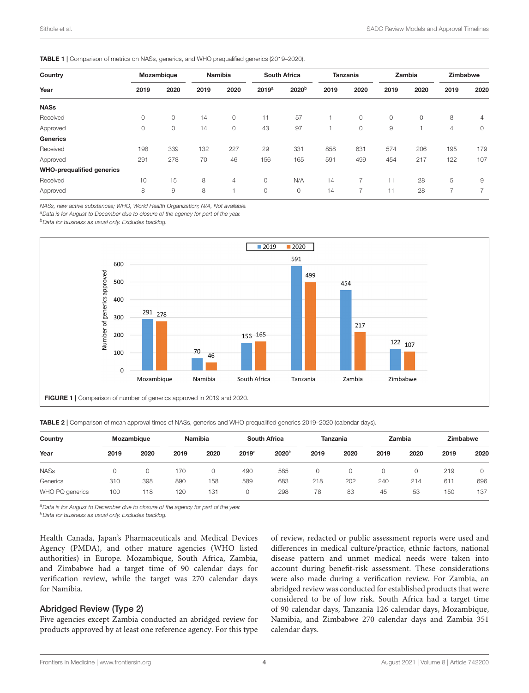<span id="page-3-0"></span>

|  |  |  | <b>TABLE 1</b>   Comparison of metrics on NASs, generics, and WHO prequalified generics (2019-2020). |  |
|--|--|--|------------------------------------------------------------------------------------------------------|--|
|--|--|--|------------------------------------------------------------------------------------------------------|--|

| Country<br>Year                  | Mozambique |         | <b>Namibia</b> |                | <b>South Africa</b> |                   | Tanzania |         | Zambia |      | Zimbabwe       |                          |
|----------------------------------|------------|---------|----------------|----------------|---------------------|-------------------|----------|---------|--------|------|----------------|--------------------------|
|                                  | 2019       | 2020    | 2019           | 2020           | 2019a               | 2020 <sup>b</sup> | 2019     | 2020    | 2019   | 2020 | 2019           | 2020                     |
| <b>NASs</b>                      |            |         |                |                |                     |                   |          |         |        |      |                |                          |
| Received                         | 0          | $\circ$ | 14             | $\circ$        | 11                  | 57                |          | $\circ$ | 0      | 0    | 8              | 4                        |
| Approved                         | $\circ$    | 0       | 14             | 0              | 43                  | 97                |          | $\circ$ | 9      |      | $\overline{4}$ | $\circ$                  |
| <b>Generics</b>                  |            |         |                |                |                     |                   |          |         |        |      |                |                          |
| Received                         | 198        | 339     | 132            | 227            | 29                  | 331               | 858      | 631     | 574    | 206  | 195            | 179                      |
| Approved                         | 291        | 278     | 70             | 46             | 156                 | 165               | 591      | 499     | 454    | 217  | 122            | 107                      |
| <b>WHO-prequalified generics</b> |            |         |                |                |                     |                   |          |         |        |      |                |                          |
| Received                         | 10         | 15      | 8              | $\overline{4}$ | $\circ$             | N/A               | 14       | 7       | 11     | 28   | 5              | 9                        |
| Approved                         | 8          | 9       | 8              |                | $\circ$             | 0                 | 14       |         | 11     | 28   | ⇁              | $\overline{\phantom{1}}$ |

*NASs, new active substances; WHO, World Health Organization; N/A, Not available.*

*<sup>a</sup>Data is for August to December due to closure of the agency for part of the year.*

*<sup>b</sup>Data for business as usual only. Excludes backlog.*



<span id="page-3-2"></span><span id="page-3-1"></span>TABLE 2 | Comparison of mean approval times of NASs, generics and WHO prequalified generics 2019–2020 (calendar days).

| Country<br>Year |      | Mozambique |      | Namibia |                   | South Africa      |      | Tanzania |      | Zambia |      | Zimbabwe |  |
|-----------------|------|------------|------|---------|-------------------|-------------------|------|----------|------|--------|------|----------|--|
|                 | 2019 | 2020       | 2019 | 2020    | 2019 <sup>a</sup> | 2020 <sup>b</sup> | 2019 | 2020     | 2019 | 2020   | 2019 | 2020     |  |
| <b>NASs</b>     |      | 0          | 170  |         | 490               | 585               | 0    |          | 0    |        | 219  |          |  |
| Generics        | 310  | 398        | 890  | 158     | 589               | 683               | 218  | 202      | 240  | 214    | 611  | 696      |  |
| WHO PQ generics | 100  | 118        | 120  | 131     |                   | 298               | 78   | 83       | 45   | 53     | 150  | 137      |  |

*<sup>a</sup>Data is for August to December due to closure of the agency for part of the year.*

*<sup>b</sup>Data for business as usual only. Excludes backlog.*

Health Canada, Japan's Pharmaceuticals and Medical Devices Agency (PMDA), and other mature agencies (WHO listed authorities) in Europe. Mozambique, South Africa, Zambia, and Zimbabwe had a target time of 90 calendar days for verification review, while the target was 270 calendar days for Namibia.

### Abridged Review (Type 2)

Five agencies except Zambia conducted an abridged review for products approved by at least one reference agency. For this type of review, redacted or public assessment reports were used and differences in medical culture/practice, ethnic factors, national disease pattern and unmet medical needs were taken into account during benefit-risk assessment. These considerations were also made during a verification review. For Zambia, an abridged review was conducted for established products that were considered to be of low risk. South Africa had a target time of 90 calendar days, Tanzania 126 calendar days, Mozambique, Namibia, and Zimbabwe 270 calendar days and Zambia 351 calendar days.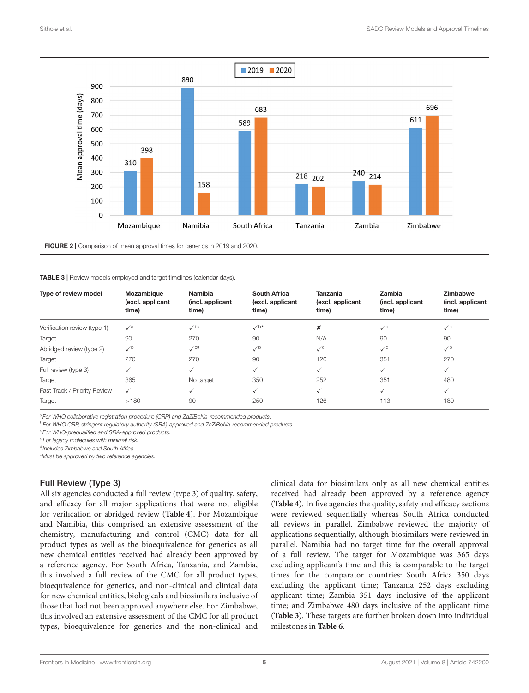

<span id="page-4-1"></span><span id="page-4-0"></span>TABLE 3 | Review models employed and target timelines (calendar days).

| Type of review model         | Mozambique<br>(excl. applicant<br>time) | <b>Namibia</b><br>(incl. applicant<br>time) | <b>South Africa</b><br>(excl. applicant<br>time) | <b>Tanzania</b><br>(excl. applicant<br>time) | <b>Zambia</b><br>(incl. applicant<br>time) | <b>Zimbabwe</b><br>(incl. applicant<br>time) |
|------------------------------|-----------------------------------------|---------------------------------------------|--------------------------------------------------|----------------------------------------------|--------------------------------------------|----------------------------------------------|
| Verification review (type 1) | $\checkmark$ <sup>a</sup>               | $\checkmark$                                | $\checkmark$ <sup>b*</sup>                       | ×                                            | $\checkmark$ <sup>c</sup>                  | $\sqrt{a}$                                   |
| Target                       | 90                                      | 270                                         | 90                                               | N/A                                          | 90                                         | 90                                           |
| Abridged review (type 2)     | $\checkmark$                            | $\checkmark$ <sup>c#</sup>                  | $\checkmark$                                     | $\checkmark$ <sup>c</sup>                    | $\sqrt{d}$                                 | $\checkmark$                                 |
| Target                       | 270                                     | 270                                         | 90                                               | 126                                          | 351                                        | 270                                          |
| Full review (type 3)         | $\checkmark$                            |                                             | ✓                                                | $\checkmark$                                 | $\checkmark$                               | $\checkmark$                                 |
| Target                       | 365                                     | No target                                   | 350                                              | 252                                          | 351                                        | 480                                          |
| Fast Track / Priority Review | $\checkmark$                            |                                             | ✓                                                | $\checkmark$                                 | $\checkmark$                               | ✓                                            |
| Target                       | >180                                    | 90                                          | 250                                              | 126                                          | 113                                        | 180                                          |

*<sup>a</sup>For WHO collaborative registration procedure (CRP) and ZaZiBoNa-recommended products.*

*<sup>b</sup>For WHO CRP, stringent regulatory authority (SRA)-approved and ZaZiBoNa-recommended products.*

*<sup>c</sup>For WHO-prequalified and SRA-approved products.*

*<sup>d</sup>For legacy molecules with minimal risk.*

# *Includes Zimbabwe and South Africa.*

\**Must be approved by two reference agencies.*

### Full Review (Type 3)

All six agencies conducted a full review (type 3) of quality, safety, and efficacy for all major applications that were not eligible for verification or abridged review (**[Table 4](#page-5-0)**). For Mozambique and Namibia, this comprised an extensive assessment of the chemistry, manufacturing and control (CMC) data for all product types as well as the bioequivalence for generics as all new chemical entities received had already been approved by a reference agency. For South Africa, Tanzania, and Zambia, this involved a full review of the CMC for all product types, bioequivalence for generics, and non-clinical and clinical data for new chemical entities, biologicals and biosimilars inclusive of those that had not been approved anywhere else. For Zimbabwe, this involved an extensive assessment of the CMC for all product types, bioequivalence for generics and the non-clinical and clinical data for biosimilars only as all new chemical entities received had already been approved by a reference agency (**[Table 4](#page-5-0)**). In five agencies the quality, safety and efficacy sections were reviewed sequentially whereas South Africa conducted all reviews in parallel. Zimbabwe reviewed the majority of applications sequentially, although biosimilars were reviewed in parallel. Namibia had no target time for the overall approval of a full review. The target for Mozambique was 365 days excluding applicant's time and this is comparable to the target times for the comparator countries: South Africa 350 days excluding the applicant time; Tanzania 252 days excluding applicant time; Zambia 351 days inclusive of the applicant time; and Zimbabwe 480 days inclusive of the applicant time (**[Table 3](#page-4-1)**). These targets are further broken down into individual milestones in **[Table 6](#page-6-0)**.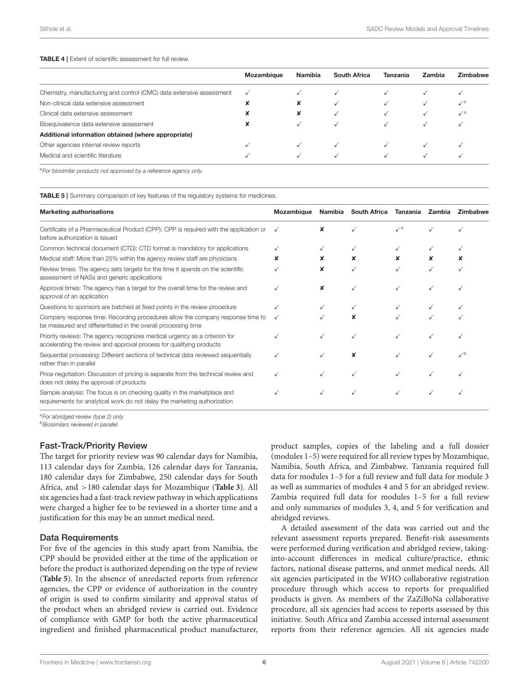#### <span id="page-5-0"></span>TABLE 4 | Extent of scientific assessment for full review.

|                                                                      | Mozambique   | Namibia              | South Africa | Tanzania | Zambia | Zimbabwe   |
|----------------------------------------------------------------------|--------------|----------------------|--------------|----------|--------|------------|
| Chemistry, manufacturing and control (CMC) data extensive assessment | $\checkmark$ |                      |              |          |        |            |
| Non-clinical data extensive assessment                               |              |                      |              |          |        | $\sqrt{a}$ |
| Clinical data extensive assessment                                   | $\ddot{\,}$  | $\ddot{\phantom{0}}$ |              |          |        | $\sqrt{a}$ |
| Bioequivalence data extensive assessment                             | ᄍ            |                      |              |          |        |            |
| Additional information obtained (where appropriate)                  |              |                      |              |          |        |            |
| Other agencies internal review reports                               |              |                      |              |          |        |            |
| Medical and scientific literature                                    |              |                      |              |          |        |            |
|                                                                      |              |                      |              |          |        |            |

*<sup>a</sup>For biosimilar products not approved by a reference agency only.*

<span id="page-5-1"></span>**TABLE 5** | Summary comparison of key features of the regulatory systems for medicines.

| <b>Marketing authorisations</b>                                                                                                                       | Mozambique | Namibia | <b>South Africa</b> | Tanzania        | Zambia | Zimbabwe |
|-------------------------------------------------------------------------------------------------------------------------------------------------------|------------|---------|---------------------|-----------------|--------|----------|
| Certificate of a Pharmaceutical Product (CPP): CPP is required with the application or<br>before authorization is issued                              |            |         |                     | $\mathcal{N}^a$ |        |          |
| Common technical document (CTD): CTD format is mandatory for applications                                                                             |            |         |                     |                 |        |          |
| Medical staff: More than 25% within the agency review staff are physicians                                                                            | x          |         | x                   | x               |        |          |
| Review times: The agency sets targets for the time it spends on the scientific<br>assessment of NASs and generic applications                         |            | x       |                     |                 |        |          |
| Approval times: The agency has a target for the overall time for the review and<br>approval of an application                                         |            |         |                     |                 |        |          |
| Questions to sponsors are batched at fixed points in the review procedure                                                                             |            |         |                     |                 |        |          |
| Company response time: Recording procedures allow the company response time to<br>be measured and differentiated in the overall processing time       |            |         |                     |                 |        |          |
| Priority reviews: The agency recognizes medical urgency as a criterion for<br>accelerating the review and approval process for qualifying products    |            |         |                     |                 |        |          |
| Sequential processing: Different sections of technical data reviewed sequentially<br>rather than in parallel                                          |            |         |                     |                 |        | ە∕.      |
| Price negotiation: Discussion of pricing is separate from the technical review and<br>does not delay the approval of products                         |            |         |                     |                 |        |          |
| Sample analysis: The focus is on checking quality in the marketplace and<br>requirements for analytical work do not delay the marketing authorization |            |         |                     |                 |        |          |

*<sup>a</sup>For abridged review (type 2) only. <sup>b</sup>Biosimilars reviewed in parallel.*

### Fast-Track/Priority Review

The target for priority review was 90 calendar days for Namibia, 113 calendar days for Zambia, 126 calendar days for Tanzania, 180 calendar days for Zimbabwe, 250 calendar days for South Africa, and >180 calendar days for Mozambique (**[Table 3](#page-4-1)**). All six agencies had a fast-track review pathway in which applications were charged a higher fee to be reviewed in a shorter time and a justification for this may be an unmet medical need.

### Data Requirements

For five of the agencies in this study apart from Namibia, the CPP should be provided either at the time of the application or before the product is authorized depending on the type of review (**[Table 5](#page-5-1)**). In the absence of unredacted reports from reference agencies, the CPP or evidence of authorization in the country of origin is used to confirm similarity and approval status of the product when an abridged review is carried out. Evidence of compliance with GMP for both the active pharmaceutical ingredient and finished pharmaceutical product manufacturer, product samples, copies of the labeling and a full dossier (modules 1–5) were required for all review types by Mozambique, Namibia, South Africa, and Zimbabwe. Tanzania required full data for modules 1–5 for a full review and full data for module 3 as well as summaries of modules 4 and 5 for an abridged review. Zambia required full data for modules 1–5 for a full review and only summaries of modules 3, 4, and 5 for verification and abridged reviews.

A detailed assessment of the data was carried out and the relevant assessment reports prepared. Benefit-risk assessments were performed during verification and abridged review, takinginto-account differences in medical culture/practice, ethnic factors, national disease patterns, and unmet medical needs. All six agencies participated in the WHO collaborative registration procedure through which access to reports for prequalified products is given. As members of the ZaZiBoNa collaborative procedure, all six agencies had access to reports assessed by this initiative. South Africa and Zambia accessed internal assessment reports from their reference agencies. All six agencies made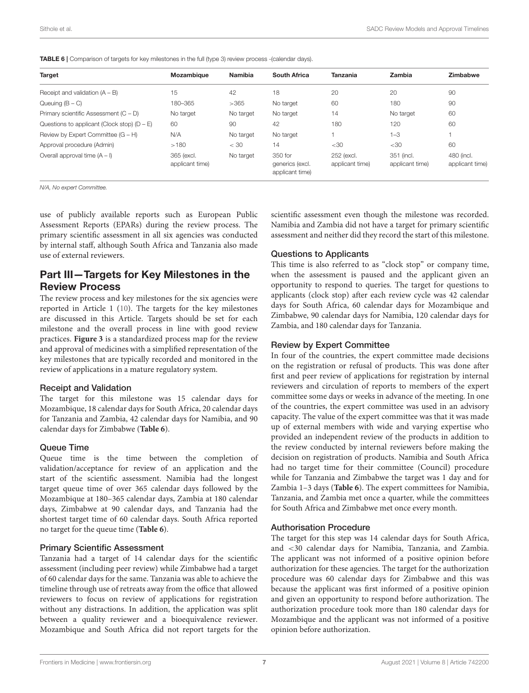<span id="page-6-0"></span>

| <b>TABLE 6</b>   Comparison of targets for key milestones in the full (type 3) review process -(calendar days). |
|-----------------------------------------------------------------------------------------------------------------|
|-----------------------------------------------------------------------------------------------------------------|

| <b>Target</b>                                 | <b>Mozambique</b>             | Namibia   | South Africa                                  | Tanzania                      | Zambia                        | Zimbabwe                      |
|-----------------------------------------------|-------------------------------|-----------|-----------------------------------------------|-------------------------------|-------------------------------|-------------------------------|
| Receipt and validation $(A - B)$              | 15                            | 42        | 18                                            | 20                            | 20                            | 90                            |
| Queuing $(B - C)$                             | 180-365                       | >365      | No target                                     | 60                            | 180                           | 90                            |
| Primary scientific Assessment $(C - D)$       | No target                     | No target | No target                                     | 14                            | No target                     | 60                            |
| Questions to applicant (Clock stop) $(D - E)$ | 60                            | 90        | 42                                            | 180                           | 120                           | 60                            |
| Review by Expert Committee $(G - H)$          | N/A                           | No target | No target                                     |                               | $1 - 3$                       |                               |
| Approval procedure (Admin)                    | >180                          | $<$ 30    | 14                                            | $<$ 30                        | $<$ 30                        | 60                            |
| Overall approval time $(A - I)$               | 365 (excl.<br>applicant time) | No target | 350 for<br>generics (excl.<br>applicant time) | 252 (excl.<br>applicant time) | 351 (incl.<br>applicant time) | 480 (incl.<br>applicant time) |

*N/A, No expert Committee.*

use of publicly available reports such as European Public Assessment Reports (EPARs) during the review process. The primary scientific assessment in all six agencies was conducted by internal staff, although South Africa and Tanzania also made use of external reviewers.

### Part III—Targets for Key Milestones in the Review Process

The review process and key milestones for the six agencies were reported in Article 1 [\(10\)](#page-9-7). The targets for the key milestones are discussed in this Article. Targets should be set for each milestone and the overall process in line with good review practices. **[Figure 3](#page-7-0)** is a standardized process map for the review and approval of medicines with a simplified representation of the key milestones that are typically recorded and monitored in the review of applications in a mature regulatory system.

### Receipt and Validation

The target for this milestone was 15 calendar days for Mozambique, 18 calendar days for South Africa, 20 calendar days for Tanzania and Zambia, 42 calendar days for Namibia, and 90 calendar days for Zimbabwe (**[Table 6](#page-6-0)**).

### Queue Time

Queue time is the time between the completion of validation/acceptance for review of an application and the start of the scientific assessment. Namibia had the longest target queue time of over 365 calendar days followed by the Mozambique at 180–365 calendar days, Zambia at 180 calendar days, Zimbabwe at 90 calendar days, and Tanzania had the shortest target time of 60 calendar days. South Africa reported no target for the queue time (**[Table 6](#page-6-0)**).

### Primary Scientific Assessment

Tanzania had a target of 14 calendar days for the scientific assessment (including peer review) while Zimbabwe had a target of 60 calendar days for the same. Tanzania was able to achieve the timeline through use of retreats away from the office that allowed reviewers to focus on review of applications for registration without any distractions. In addition, the application was split between a quality reviewer and a bioequivalence reviewer. Mozambique and South Africa did not report targets for the scientific assessment even though the milestone was recorded. Namibia and Zambia did not have a target for primary scientific assessment and neither did they record the start of this milestone.

### Questions to Applicants

This time is also referred to as "clock stop" or company time, when the assessment is paused and the applicant given an opportunity to respond to queries. The target for questions to applicants (clock stop) after each review cycle was 42 calendar days for South Africa, 60 calendar days for Mozambique and Zimbabwe, 90 calendar days for Namibia, 120 calendar days for Zambia, and 180 calendar days for Tanzania.

### Review by Expert Committee

In four of the countries, the expert committee made decisions on the registration or refusal of products. This was done after first and peer review of applications for registration by internal reviewers and circulation of reports to members of the expert committee some days or weeks in advance of the meeting. In one of the countries, the expert committee was used in an advisory capacity. The value of the expert committee was that it was made up of external members with wide and varying expertise who provided an independent review of the products in addition to the review conducted by internal reviewers before making the decision on registration of products. Namibia and South Africa had no target time for their committee (Council) procedure while for Tanzania and Zimbabwe the target was 1 day and for Zambia 1–3 days (**[Table 6](#page-6-0)**). The expert committees for Namibia, Tanzania, and Zambia met once a quarter, while the committees for South Africa and Zimbabwe met once every month.

### Authorisation Procedure

The target for this step was 14 calendar days for South Africa, and <30 calendar days for Namibia, Tanzania, and Zambia. The applicant was not informed of a positive opinion before authorization for these agencies. The target for the authorization procedure was 60 calendar days for Zimbabwe and this was because the applicant was first informed of a positive opinion and given an opportunity to respond before authorization. The authorization procedure took more than 180 calendar days for Mozambique and the applicant was not informed of a positive opinion before authorization.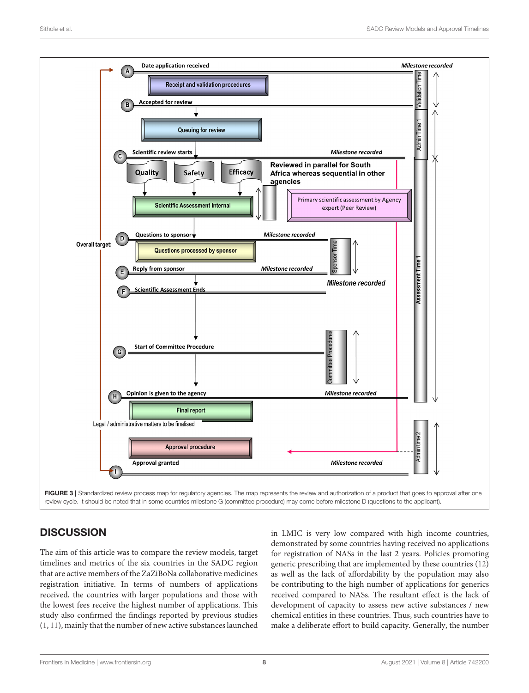

# <span id="page-7-0"></span>**DISCUSSION**

The aim of this article was to compare the review models, target timelines and metrics of the six countries in the SADC region that are active members of the ZaZiBoNa collaborative medicines registration initiative. In terms of numbers of applications received, the countries with larger populations and those with the lowest fees receive the highest number of applications. This study also confirmed the findings reported by previous studies [\(1,](#page-8-0) [11\)](#page-9-8), mainly that the number of new active substances launched in LMIC is very low compared with high income countries, demonstrated by some countries having received no applications for registration of NASs in the last 2 years. Policies promoting generic prescribing that are implemented by these countries [\(12\)](#page-9-9) as well as the lack of affordability by the population may also be contributing to the high number of applications for generics received compared to NASs. The resultant effect is the lack of development of capacity to assess new active substances / new chemical entities in these countries. Thus, such countries have to make a deliberate effort to build capacity. Generally, the number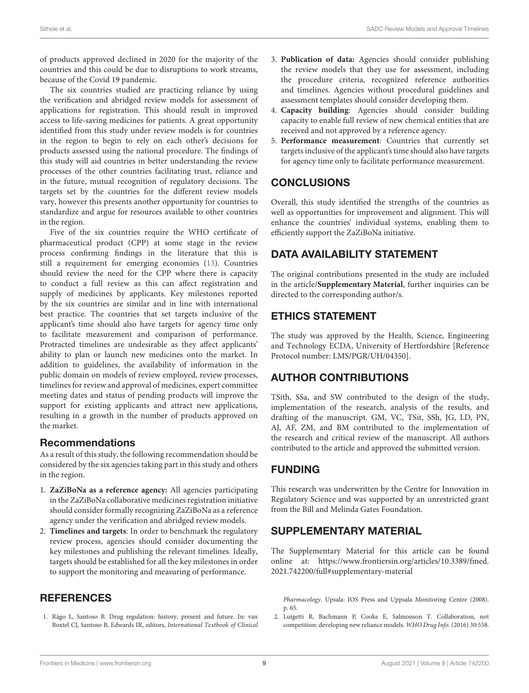of products approved declined in 2020 for the majority of the countries and this could be due to disruptions to work streams, because of the Covid 19 pandemic.

The six countries studied are practicing reliance by using the verification and abridged review models for assessment of applications for registration. This should result in improved access to life-saving medicines for patients. A great opportunity identified from this study under review models is for countries in the region to begin to rely on each other's decisions for products assessed using the national procedure. The findings of this study will aid countries in better understanding the review processes of the other countries facilitating trust, reliance and in the future, mutual recognition of regulatory decisions. The targets set by the countries for the different review models vary, however this presents another opportunity for countries to standardize and argue for resources available to other countries in the region.

Five of the six countries require the WHO certificate of pharmaceutical product (CPP) at some stage in the review process confirming findings in the literature that this is still a requirement for emerging economies [\(13\)](#page-9-10). Countries should review the need for the CPP where there is capacity to conduct a full review as this can affect registration and supply of medicines by applicants. Key milestones reported by the six countries are similar and in line with international best practice. The countries that set targets inclusive of the applicant's time should also have targets for agency time only to facilitate measurement and comparison of performance. Protracted timelines are undesirable as they affect applicants' ability to plan or launch new medicines onto the market. In addition to guidelines, the availability of information in the public domain on models of review employed, review processes, timelines for review and approval of medicines, expert committee meeting dates and status of pending products will improve the support for existing applicants and attract new applications, resulting in a growth in the number of products approved on the market.

### Recommendations

As a result of this study, the following recommendation should be considered by the six agencies taking part in this study and others in the region.

- 1. **ZaZiBoNa as a reference agency:** All agencies participating in the ZaZiBoNa collaborative medicines registration initiative should consider formally recognizing ZaZiBoNa as a reference agency under the verification and abridged review models.
- 2. **Timelines and targets**: In order to benchmark the regulatory review process, agencies should consider documenting the key milestones and publishing the relevant timelines. Ideally, targets should be established for all the key milestones in order to support the monitoring and measuring of performance.

# **REFERENCES**

<span id="page-8-0"></span>1. Rägo L, Santoso B. Drug regulation: history, present and future. In: van Boxtel CJ, Santoso B, Edwards IR, editors, International Textbook of Clinical

- 3. **Publication of data:** Agencies should consider publishing the review models that they use for assessment, including the procedure criteria, recognized reference authorities and timelines. Agencies without procedural guidelines and assessment templates should consider developing them.
- 4. **Capacity building**: Agencies should consider building capacity to enable full review of new chemical entities that are received and not approved by a reference agency.
- 5. **Performance measurement**: Countries that currently set targets inclusive of the applicant's time should also have targets for agency time only to facilitate performance measurement.

# **CONCLUSIONS**

Overall, this study identified the strengths of the countries as well as opportunities for improvement and alignment. This will enhance the countries' individual systems, enabling them to efficiently support the ZaZiBoNa initiative.

# DATA AVAILABILITY STATEMENT

The original contributions presented in the study are included in the article/**[Supplementary Material](#page-8-2)**, further inquiries can be directed to the corresponding author/s.

# ETHICS STATEMENT

The study was approved by the Health, Science, Engineering and Technology ECDA, University of Hertfordshire [Reference Protocol number: LMS/PGR/UH/04350].

# AUTHOR CONTRIBUTIONS

TSith, SSa, and SW contributed to the design of the study, implementation of the research, analysis of the results, and drafting of the manuscript. GM, VC, TSit, SSh, JG, LD, PN, AJ, AF, ZM, and BM contributed to the implementation of the research and critical review of the manuscript. All authors contributed to the article and approved the submitted version.

# FUNDING

This research was underwritten by the Centre for Innovation in Regulatory Science and was supported by an unrestricted grant from the Bill and Melinda Gates Foundation.

# SUPPLEMENTARY MATERIAL

<span id="page-8-2"></span>The Supplementary Material for this article can be found [online at: https://www.frontiersin.org/articles/10.3389/fmed.](https://www.frontiersin.org/articles/10.3389/fmed.2021.742200/full#supplementary-material) 2021.742200/full#supplementary-material

Pharmacology. Upsala: IOS Press and Uppsala Monitoring Centre (2008). p. 65.

<span id="page-8-1"></span>2. Luigetti R, Bachmann P, Cooke E, Salmonson T. Collaboration, not competition: developing new reliance models. WHO Drug Info. (2016) 30:558.